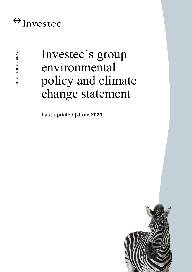## $\bigoplus$  Investec

# Investec's group environmental policy and climate change statement

**Last updated | June 2021**

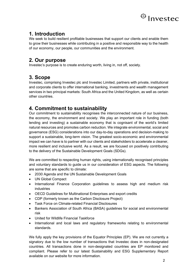

## **1. Introduction**

We seek to build resilient profitable businesses that support our clients and enable them to grow their businesses while contributing in a positive and responsible way to the health of our economy, our people, our communities and the environment.

#### **2. Our purpose**

Investec's purpose is to create enduring worth, living in, not off, society.

## **3. Scope**

Investec, comprising Investec plc and Investec Limited, partners with private, institutional and corporate clients to offer international banking, investments and wealth management services in two principal markets: South Africa and the United Kingdom, as well as certain other countries.

### **4. Commitment to sustainability**

Our commitment to sustainability recognises the interconnected nature of our business, the economy, the environment and society. We play an important role in funding (both lending and investing) a sustainable economy that is cognisant of the world's limited natural resources and promotes carbon reduction. We integrate environmental, social and governance (ESG) considerations into our day-to-day operations and decision-making to support a sustainable, long-term vision. The greatest socio-economic and environmental impact we can have is to partner with our clients and stakeholders to accelerate a cleaner, more resilient and inclusive world. As a result, we are focused on positively contributing to the delivery of the Sustainable Development Goals (SDGs).

We are committed to respecting human rights, using internationally recognised principles and voluntary standards to guide us in our consideration of ESG aspects. The following are some that are specific to climate:

- 2030 Agenda and the UN Sustainable Development Goals
- UN Global Compact
- International Finance Corporation guidelines to assess high and medium risk industries
- OECD Guidelines for Multinational Enterprises and export credits
- CDP (formerly known as the Carbon Disclosure Project)
- Task Force on Climate-related Financial Disclosures
- Bankers Association of South Africa (BASA) guidelines for social and environmental risk
- United for Wildlife Financial Taskforce
- International and local laws and regulatory frameworks relating to environmental standards.

We fully apply the key provisions of the Equator Principles (EP). We are not currently a signatory due to the low number of transactions that Investec does in non-designated countries. All transactions done in non-designated countries are EP monitored and compliant. Please refer to our latest Sustainability and ESG Supplementary Report available on our website for more information.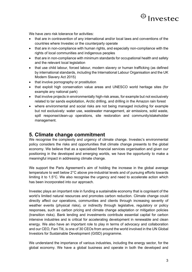

We have zero risk tolerance for activities:

- that are in contravention of any international and/or local laws and conventions of the countries where Investec or the counterparty operate
- that are in non-compliance with human rights, and especially non-compliance with the rights of local communities and indigenous peoples
- that are in non-compliance with minimum standards for occupational health and safety and the relevant local legislation
- that use child labour, forced labour, modern slavery or human trafficking (as defined by international standards, including the International Labour Organisation and the UK Modern Slavery Act 2015)
- that involve pornography or prostitution
- that exploit high conservation value areas and UNESCO world heritage sites (for example any national park)
- that involve projects in environmentally high-risk areas, for example but not exclusively related to tar sands exploitation, Arctic drilling, and drilling in the Amazon rain forest
- where environmental and social risks are not being managed including for example but not exclusively: water use, wastewater management, air emissions, solid waste, spill response/clean-up operations, site restoration and community/stakeholder management.

#### **5. Climate change commitment**

We recognise the complexity and urgency of climate change. Investec's environmental policy considers the risks and opportunities that climate change presents to the global economy. We believe that as a specialised financial services organisation and given our positioning in the developed and emerging worlds, we have the opportunity to make a meaningful impact in addressing climate change.

We support the Paris Agreement's aim of holding the increase in the global average temperature to well below 2°C above pre-industrial levels and of pursuing efforts towards limiting it to 1.5°C. We also recognise the urgency and need to accelerate action which has been incorporated into our approach.

Investec plays an important role in funding a sustainable economy that is cognisant of the world's limited natural resources and promotes carbon reduction. Climate change could directly affect our operations, communities and clients through increasing severity of weather events (physical risks), or indirectly through legislative, regulatory or policy responses, such as carbon pricing and climate change adaptation or mitigation policies (transition risks). Bank lending and investments contribute essential capital for carbon intensive industries and is critical for accelerating development in renewable and clean energy. We also have an important role to play in terms of advocacy and collaboration and our CEO, Fani Titi, is one of 30 CEOs from around the world involved in the UN Global Investors for Sustainable Development (GISD) programme.

We understand the importance of various industries, including the energy sector, for the global economy. We have a global business and operate in both the developed and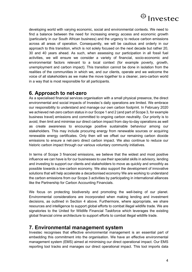

developing world with varying economic, social and environmental contexts. We need to find a balance between the need for increasing energy access and economic growth (particularly in our South African business) and the urgency to reduce carbon emissions across all areas of operation. Consequently, we will be cautious and orderly in our approach to this transition, which is not solely focused on the next decade but rather 20, 30 and 40 years ahead. As such, when assessing our participation in all fossil fuel activities, we will ensure we consider a variety of financial, socio-economic and environmental factors relevant to a local context (for example poverty, growth, unemployment and carbon impact). This transition cannot be done in isolation from the realities of the communities in which we, and our clients, operate and we welcome the voice of all stakeholders as we make the move together to a cleaner, zero-carbon world in a way that is most responsible for all participants.

#### **6. Approach to net-zero**

As a specialised financial services organisation with a small physical presence, the direct environmental and social impacts of Investec's daily operations are limited. We embrace our responsibility to understand and manage our own carbon footprint. In February 2020 we achieved net-zero carbon status in our Scope 1 and 2 (and part of Scope 3, for example business travel) emissions and committed to ongoing carbon neutrality. Our priority is to avoid, then limit and minimise our direct carbon impact from day-to-day operations as well as create awareness to encourage positive sustainable behaviour among our stakeholders. This may include procuring energy from renewable sources or acquiring renewable energy certificates. Only then will we offset our remaining carbon dioxide emissions to ensure a net-zero direct carbon impact. We also continue to reduce our historic carbon impact through our various voluntary community initiatives.

In terms of Scope 3 financed emissions, we believe that the widest and most positive influence we can have is for our businesses to use their specialist skills in advisory, lending and investing to support our clients and stakeholders to move as quickly and smoothly as possible towards a low-carbon economy. We also support the development of innovative solutions that will help accelerate a decarbonised economy We are working to understand the carbon emissions from our Scope 3 activities by participating in international alliances like the Partnership for Carbon Accounting Financials.

We focus on protecting biodiversity and promoting the well-being of our planet. Environmental considerations are incorporated when making lending and investment decisions, as outlined in Section 4 above. Furthermore, where appropriate, we share resources and intelligence to support global efforts to combat illegal wildlife trade. We are signatories to the United for Wildlife Financial Taskforce which leverages the existing global financial crime architecture to support efforts to combat illegal wildlife trade.

#### **7. Environmental management system**

Investec recognises that effective environmental management is an essential part of embedding this commitment into the organisation. We have an effective environmental management system (EMS) aimed at minimising our direct operational impact. Our EMS reporting tool tracks and manages our direct operational impact. This tool imports data